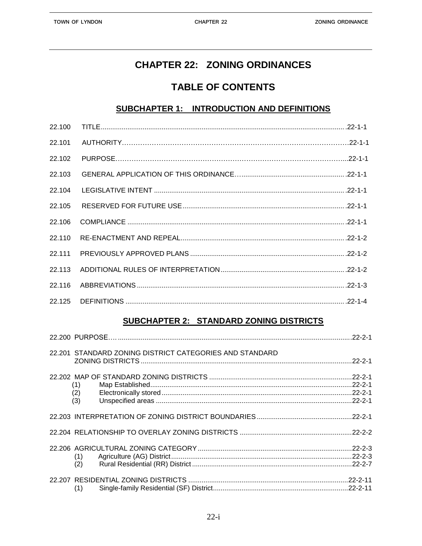# **CHAPTER 22: ZONING ORDINANCES**

# **TABLE OF CONTENTS**

#### SUBCHAPTER 1: INTRODUCTION AND DEFINITIONS

| 22.100 |  |
|--------|--|
| 22.101 |  |
| 22.102 |  |
| 22.103 |  |
| 22.104 |  |
| 22.105 |  |
| 22.106 |  |
| 22.110 |  |
| 22.111 |  |
| 22.113 |  |
| 22.116 |  |
|        |  |

### **SUBCHAPTER 2: STANDARD ZONING DISTRICTS**

|                   | 22.201 STANDARD ZONING DISTRICT CATEGORIES AND STANDARD | $.22 - 2 - 1$ |
|-------------------|---------------------------------------------------------|---------------|
| (1)<br>(2)<br>(3) |                                                         |               |
|                   |                                                         |               |
|                   |                                                         |               |
| (1)<br>(2)        |                                                         |               |
| (1)               |                                                         |               |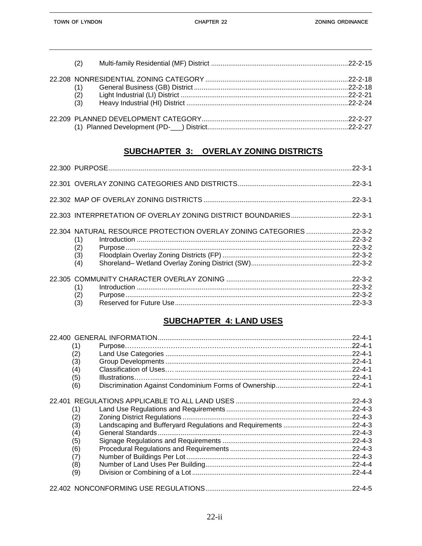| (2) |  |
|-----|--|
|     |  |
| (1) |  |
| (2) |  |
| (3) |  |
|     |  |
|     |  |

## SUBCHAPTER 3: OVERLAY ZONING DISTRICTS

| (1)<br>(2)<br>(3)<br>(4) |                                                                     |
|--------------------------|---------------------------------------------------------------------|
| (1)<br>(2)<br>(3)        |                                                                     |
|                          | 22.304 NATURAL RESOURCE PROTECTION OVERLAY ZONING CATEGORIES 22-3-2 |

### **SUBCHAPTER 4: LAND USES**

|     | $.22 - 4 - 1$ |
|-----|---------------|
| (1) |               |
| (2) |               |
| (3) | $.22 - 4 - 1$ |
| (4) | $.22 - 4 - 1$ |
| (5) | $.22 - 4 - 1$ |
| (6) |               |
|     | $.22 - 4 - 3$ |
| (1) | $.22 - 4 - 3$ |
| (2) | $.22 - 4 - 3$ |
| (3) | $.22 - 4 - 3$ |
| (4) | $.22 - 4 - 3$ |
| (5) | $.22 - 4 - 3$ |
| (6) | $.22 - 4 - 3$ |
| (7) | $.22 - 4 - 3$ |
| (8) |               |
| (9) |               |
|     | $.22 - 4 - 5$ |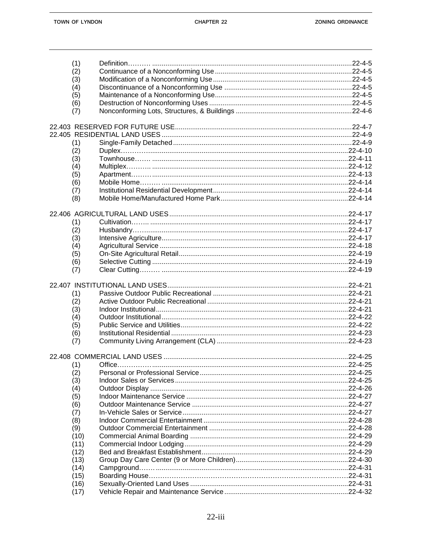| (1)        |                |
|------------|----------------|
| (2)        |                |
| (3)        |                |
| (4)        |                |
| (5)        |                |
| (6)        |                |
|            |                |
| (7)        |                |
|            |                |
|            |                |
|            |                |
| (1)        |                |
| (2)        |                |
| (3)        |                |
| (4)        |                |
| (5)        |                |
| (6)        |                |
| (7)        |                |
| (8)        |                |
|            |                |
|            |                |
| (1)        |                |
| (2)        |                |
|            |                |
| (3)        |                |
| (4)        |                |
| (5)        |                |
| (6)        |                |
| (7)        |                |
|            |                |
|            |                |
| (1)        |                |
| (2)        |                |
| (3)        |                |
| (4)        |                |
| (5)        |                |
| (6)        |                |
| (7)        |                |
|            |                |
|            |                |
| (1) Office | $.22 - 4 - 25$ |
| (2)        |                |
| (3)        |                |
|            |                |
| (4)        |                |
| (5)        |                |
| (6)        |                |
| (7)        |                |
| (8)        |                |
| (9)        |                |
| (10)       |                |
| (11)       |                |
| (12)       |                |
| (13)       |                |
| (14)       |                |
| (15)       |                |
|            |                |
| (16)       |                |
| (17)       |                |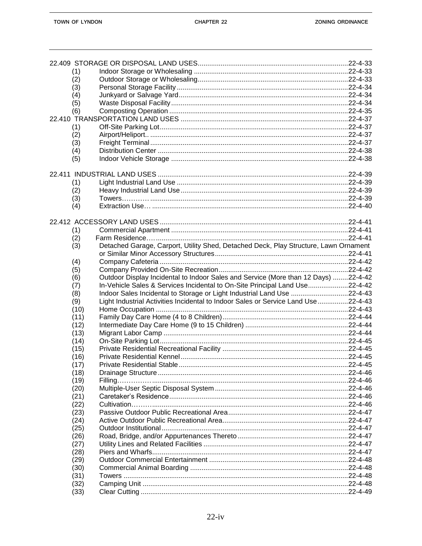| (1)  |                                                                                      |  |
|------|--------------------------------------------------------------------------------------|--|
| (2)  |                                                                                      |  |
| (3)  |                                                                                      |  |
| (4)  |                                                                                      |  |
| (5)  |                                                                                      |  |
| (6)  |                                                                                      |  |
|      |                                                                                      |  |
| (1)  |                                                                                      |  |
| (2)  |                                                                                      |  |
| (3)  |                                                                                      |  |
| (4)  |                                                                                      |  |
| (5)  |                                                                                      |  |
|      |                                                                                      |  |
|      |                                                                                      |  |
| (1)  |                                                                                      |  |
| (2)  |                                                                                      |  |
| (3)  |                                                                                      |  |
| (4)  |                                                                                      |  |
|      |                                                                                      |  |
|      |                                                                                      |  |
| (1)  |                                                                                      |  |
| (2)  |                                                                                      |  |
| (3)  | Detached Garage, Carport, Utility Shed, Detached Deck, Play Structure, Lawn Ornament |  |
|      |                                                                                      |  |
| (4)  |                                                                                      |  |
| (5)  |                                                                                      |  |
| (6)  | Outdoor Display Incidental to Indoor Sales and Service (More than 12 Days) 22-4-42   |  |
| (7)  | In-Vehicle Sales & Services Incidental to On-Site Principal Land Use22-4-42          |  |
| (8)  | Indoor Sales Incidental to Storage or Light Industrial Land Use 22-4-43              |  |
| (9)  | Light Industrial Activities Incidental to Indoor Sales or Service Land Use 22-4-43   |  |
| (10) |                                                                                      |  |
| (11) |                                                                                      |  |
| (12) |                                                                                      |  |
| (13) |                                                                                      |  |
| (14) |                                                                                      |  |
| (15) |                                                                                      |  |
| (16) |                                                                                      |  |
| (17) |                                                                                      |  |
| (18) |                                                                                      |  |
| (19) |                                                                                      |  |
| (20) |                                                                                      |  |
| (21) |                                                                                      |  |
| (22) |                                                                                      |  |
| (23) |                                                                                      |  |
| (24) |                                                                                      |  |
| (25) |                                                                                      |  |
| (26) |                                                                                      |  |
| (27) |                                                                                      |  |
| (28) |                                                                                      |  |
| (29) |                                                                                      |  |
| (30) |                                                                                      |  |
| (31) |                                                                                      |  |
| (32) |                                                                                      |  |
| (33) |                                                                                      |  |
|      |                                                                                      |  |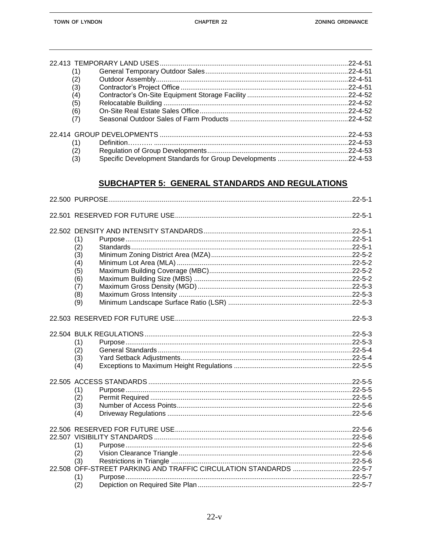| (1) |                |
|-----|----------------|
| (2) |                |
| (3) |                |
| (4) |                |
| (5) |                |
| (6) |                |
| (7) |                |
|     |                |
| (1) | $.22 - 4 - 53$ |
| (2) |                |
| (3) |                |

## **SUBCHAPTER 5: GENERAL STANDARDS AND REGULATIONS**

| (1)<br>(2)<br>(3)<br>(4)<br>(5)<br>(6)<br>(7)<br>(8)<br>(9)                             |  |
|-----------------------------------------------------------------------------------------|--|
|                                                                                         |  |
| (1)<br>(2)<br>(3)<br>(4)                                                                |  |
| (1)<br>(2)<br>(3)<br>(4)                                                                |  |
| (1)<br>(2)                                                                              |  |
| (3)<br>22.508 OFF-STREET PARKING AND TRAFFIC CIRCULATION STANDARDS 22-5-7<br>(1)<br>(2) |  |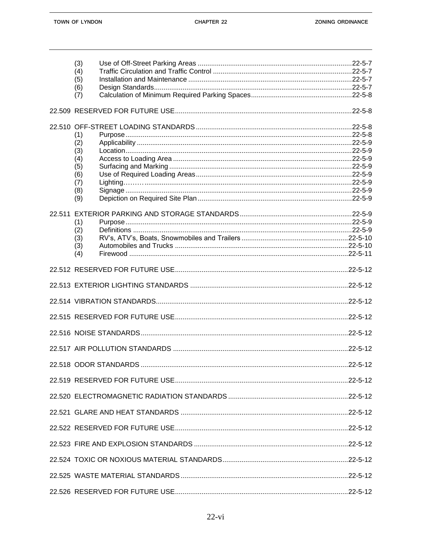|        | (3) |  |
|--------|-----|--|
|        | (4) |  |
|        | (5) |  |
|        | (6) |  |
|        | (7) |  |
|        |     |  |
|        |     |  |
|        | (1) |  |
|        | (2) |  |
|        | (3) |  |
|        | (4) |  |
|        | (5) |  |
|        | (6) |  |
|        | (7) |  |
|        | (8) |  |
|        | (9) |  |
| 22.511 |     |  |
|        | (1) |  |
|        | (2) |  |
|        | (3) |  |
|        | (3) |  |
|        | (4) |  |
|        |     |  |
|        |     |  |
|        |     |  |
|        |     |  |
|        |     |  |
|        |     |  |
|        |     |  |
|        |     |  |
|        |     |  |
|        |     |  |
|        |     |  |
|        |     |  |
|        |     |  |
|        |     |  |
|        |     |  |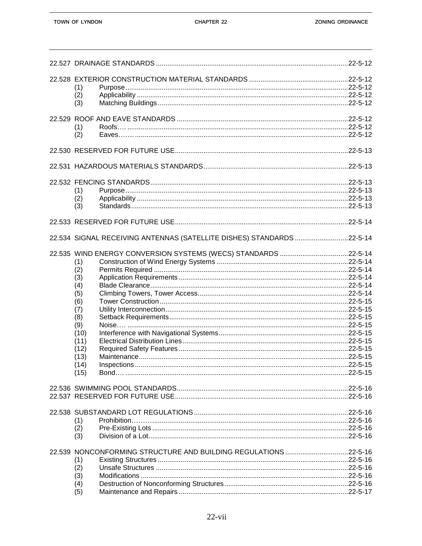| (1)<br>(2)<br>(3)                                                                                           |                                                                       |  |
|-------------------------------------------------------------------------------------------------------------|-----------------------------------------------------------------------|--|
| (1)<br>(2)                                                                                                  |                                                                       |  |
|                                                                                                             |                                                                       |  |
|                                                                                                             |                                                                       |  |
| (1)<br>(2)<br>(3)                                                                                           |                                                                       |  |
|                                                                                                             |                                                                       |  |
|                                                                                                             | 22.534 SIGNAL RECEIVING ANTENNAS (SATELLITE DISHES) STANDARDS 22-5-14 |  |
| (1)<br>(2)<br>(3)<br>(4)<br>(5)<br>(6)<br>(7)<br>(8)<br>(9)<br>(10)<br>(11)<br>(12)<br>(13)<br>(14)<br>(15) |                                                                       |  |
|                                                                                                             |                                                                       |  |
| (1)<br>(2)<br>(3)                                                                                           |                                                                       |  |
| (1)<br>(2)<br>(3)<br>(4)<br>(5)                                                                             | 22.539 NONCONFORMING STRUCTURE AND BUILDING REGULATIONS22-5-16        |  |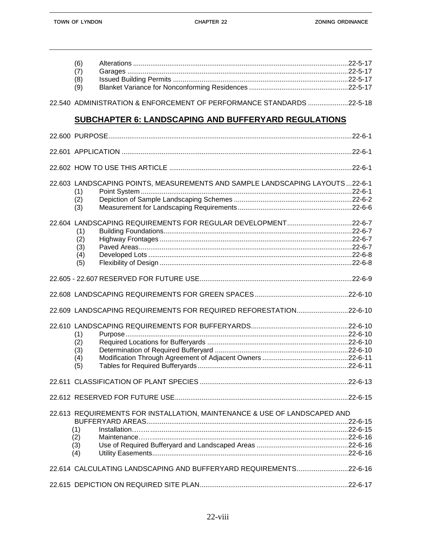| (6) |  |
|-----|--|
| (7) |  |
| (8) |  |
| (9) |  |
|     |  |

22.540 ADMINISTRATION & ENFORCEMENT OF PERFORMANCE STANDARDS .....................22-5-18

#### **SUBCHAPTER 6: LANDSCAPING AND BUFFERYARD REGULATIONS**

| 22.603 LANDSCAPING POINTS, MEASUREMENTS AND SAMPLE LANDSCAPING LAYOUTS 22-6-1<br>(1)<br>(2)<br>(3)    |  |
|-------------------------------------------------------------------------------------------------------|--|
| 22.604 LANDSCAPING REQUIREMENTS FOR REGULAR DEVELOPMENT22-6-7<br>(1)<br>(2)<br>(3)<br>(4)<br>(5)      |  |
|                                                                                                       |  |
|                                                                                                       |  |
| 22.609 LANDSCAPING REQUIREMENTS FOR REQUIRED REFORESTATION22-6-10                                     |  |
| (1)<br>(2)<br>(3)<br>(4)<br>(5)                                                                       |  |
|                                                                                                       |  |
|                                                                                                       |  |
| 22.613 REQUIREMENTS FOR INSTALLATION, MAINTENANCE & USE OF LANDSCAPED AND<br>(1)<br>(2)<br>(3)<br>(4) |  |
| 22.614 CALCULATING LANDSCAPING AND BUFFERYARD REQUIREMENTS22-6-16                                     |  |
|                                                                                                       |  |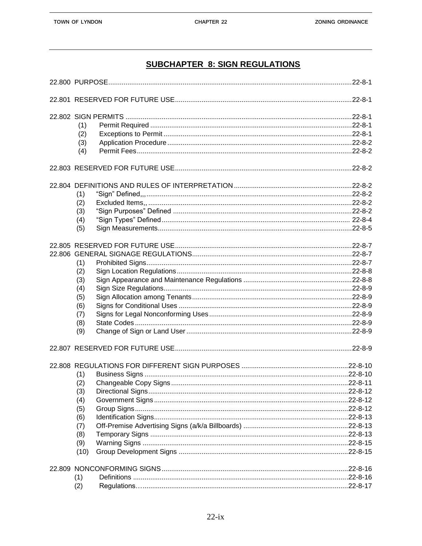## **SUBCHAPTER 8: SIGN REGULATIONS**

| (1)  |  |                |  |
|------|--|----------------|--|
| (2)  |  |                |  |
| (3)  |  |                |  |
| (4)  |  |                |  |
|      |  |                |  |
|      |  |                |  |
| (1)  |  |                |  |
| (2)  |  |                |  |
| (3)  |  |                |  |
| (4)  |  |                |  |
| (5)  |  |                |  |
|      |  |                |  |
|      |  |                |  |
| (1)  |  |                |  |
| (2)  |  |                |  |
| (3)  |  |                |  |
| (4)  |  |                |  |
|      |  |                |  |
| (5)  |  |                |  |
| (6)  |  |                |  |
| (7)  |  |                |  |
| (8)  |  |                |  |
| (9)  |  |                |  |
|      |  |                |  |
|      |  |                |  |
| (1)  |  |                |  |
| (2)  |  |                |  |
| (3)  |  |                |  |
| (4)  |  |                |  |
| (5)  |  |                |  |
| (6)  |  |                |  |
| (7)  |  |                |  |
| (8)  |  |                |  |
| (9)  |  |                |  |
| (10) |  |                |  |
|      |  |                |  |
| (1)  |  |                |  |
| (2)  |  | $.22 - 8 - 17$ |  |
|      |  |                |  |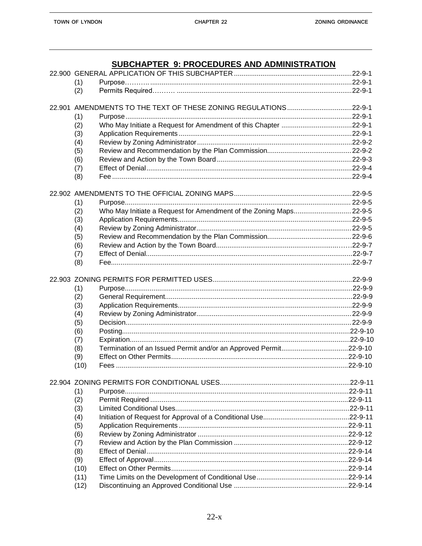## SUBCHAPTER 9: PROCEDURES AND ADMINISTRATION

| (1)  |                                                                    |  |
|------|--------------------------------------------------------------------|--|
| (2)  |                                                                    |  |
|      |                                                                    |  |
|      |                                                                    |  |
| (1)  |                                                                    |  |
| (2)  |                                                                    |  |
| (3)  |                                                                    |  |
| (4)  |                                                                    |  |
| (5)  |                                                                    |  |
| (6)  |                                                                    |  |
| (7)  |                                                                    |  |
| (8)  |                                                                    |  |
|      |                                                                    |  |
|      |                                                                    |  |
| (1)  |                                                                    |  |
| (2)  | Who May Initiate a Request for Amendment of the Zoning Maps 22-9-5 |  |
| (3)  |                                                                    |  |
| (4)  |                                                                    |  |
| (5)  |                                                                    |  |
| (6)  |                                                                    |  |
| (7)  |                                                                    |  |
| (8)  |                                                                    |  |
|      |                                                                    |  |
|      |                                                                    |  |
| (1)  |                                                                    |  |
| (2)  |                                                                    |  |
| (3)  |                                                                    |  |
| (4)  |                                                                    |  |
| (5)  |                                                                    |  |
| (6)  |                                                                    |  |
| (7)  |                                                                    |  |
| (8)  | Termination of an Issued Permit and/or an Approved Permit22-9-10   |  |
| (9)  |                                                                    |  |
| (10) |                                                                    |  |
|      |                                                                    |  |
|      |                                                                    |  |
| (1)  |                                                                    |  |
| (2)  |                                                                    |  |
| (3)  |                                                                    |  |
| (4)  |                                                                    |  |
| (5)  |                                                                    |  |
| (6)  |                                                                    |  |
| (7)  |                                                                    |  |
| (8)  |                                                                    |  |
| (9)  |                                                                    |  |
| (10) |                                                                    |  |
| (11) |                                                                    |  |
| (12) |                                                                    |  |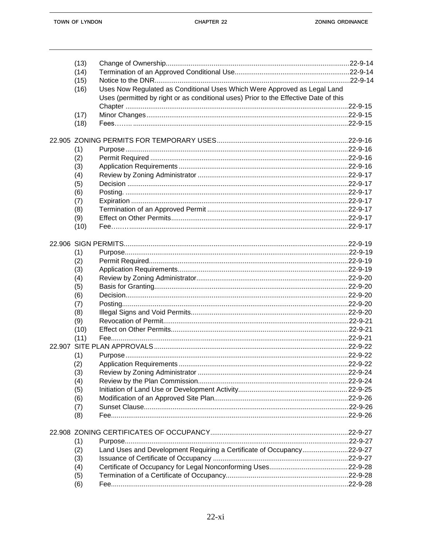|  | (13) |                                                                                      |          |  |
|--|------|--------------------------------------------------------------------------------------|----------|--|
|  | (14) |                                                                                      |          |  |
|  | (15) |                                                                                      |          |  |
|  | (16) | Uses Now Regulated as Conditional Uses Which Were Approved as Legal Land             |          |  |
|  |      | Uses (permitted by right or as conditional uses) Prior to the Effective Date of this |          |  |
|  |      |                                                                                      |          |  |
|  | (17) |                                                                                      |          |  |
|  | (18) |                                                                                      |          |  |
|  |      |                                                                                      |          |  |
|  | (1)  |                                                                                      |          |  |
|  | (2)  |                                                                                      |          |  |
|  | (3)  |                                                                                      |          |  |
|  | (4)  |                                                                                      |          |  |
|  | (5)  |                                                                                      |          |  |
|  | (6)  |                                                                                      |          |  |
|  | (7)  |                                                                                      |          |  |
|  | (8)  |                                                                                      |          |  |
|  | (9)  |                                                                                      |          |  |
|  | (10) |                                                                                      |          |  |
|  |      |                                                                                      |          |  |
|  |      |                                                                                      |          |  |
|  | (1)  |                                                                                      |          |  |
|  | (2)  |                                                                                      |          |  |
|  | (3)  |                                                                                      |          |  |
|  | (4)  |                                                                                      |          |  |
|  | (5)  |                                                                                      |          |  |
|  | (6)  |                                                                                      |          |  |
|  | (7)  |                                                                                      |          |  |
|  | (8)  |                                                                                      |          |  |
|  | (9)  |                                                                                      |          |  |
|  | (10) |                                                                                      |          |  |
|  | (11) |                                                                                      |          |  |
|  |      |                                                                                      |          |  |
|  | (1)  |                                                                                      |          |  |
|  | (2)  |                                                                                      | .22-9-22 |  |
|  | (3)  |                                                                                      |          |  |
|  | (4)  |                                                                                      |          |  |
|  | (5)  |                                                                                      |          |  |
|  | (6)  |                                                                                      |          |  |
|  | (7)  |                                                                                      |          |  |
|  | (8)  |                                                                                      |          |  |
|  |      |                                                                                      |          |  |
|  | (1)  |                                                                                      |          |  |
|  | (2)  | Land Uses and Development Requiring a Certificate of Occupancy22-9-27                |          |  |
|  | (3)  |                                                                                      |          |  |
|  | (4)  |                                                                                      |          |  |
|  | (5)  |                                                                                      |          |  |
|  | (6)  |                                                                                      |          |  |
|  |      |                                                                                      |          |  |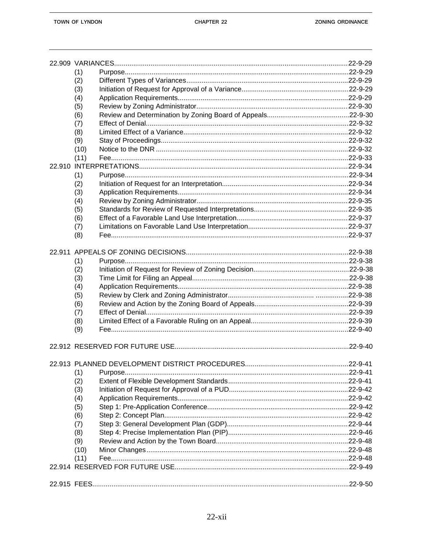|  | (1)                                            |           |
|--|------------------------------------------------|-----------|
|  | (2)                                            |           |
|  | (3)                                            |           |
|  | (4)                                            |           |
|  | (5)                                            |           |
|  | (6)                                            |           |
|  | (7)                                            |           |
|  | (8)                                            |           |
|  | (9)                                            |           |
|  | (10)                                           |           |
|  | (11)                                           |           |
|  |                                                |           |
|  |                                                |           |
|  | (1)                                            |           |
|  | (2)                                            |           |
|  | (3)                                            |           |
|  | (4)                                            |           |
|  | (5)                                            |           |
|  | (6)                                            |           |
|  | (7)                                            |           |
|  | (8)                                            |           |
|  |                                                |           |
|  | (1)                                            |           |
|  | (2)                                            |           |
|  | (3)                                            |           |
|  | (4)                                            |           |
|  | (5)                                            |           |
|  | (6)                                            |           |
|  | (7)                                            |           |
|  | (8)                                            |           |
|  | (9)                                            |           |
|  |                                                |           |
|  |                                                |           |
|  | 22.913 PLANNED DEVELOPMENT DISTRICT PROCEDURES | $22-9-41$ |
|  | (1)                                            |           |
|  | (2)                                            |           |
|  | (3)                                            |           |
|  | (4)                                            |           |
|  | (5)                                            |           |
|  | (6)                                            |           |
|  | (7)                                            |           |
|  | (8)                                            |           |
|  | (9)                                            |           |
|  | (10)                                           |           |
|  | (11)                                           |           |
|  |                                                |           |
|  |                                                |           |
|  |                                                |           |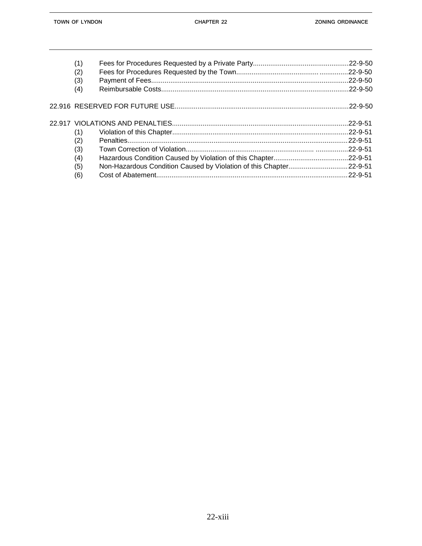| (1)<br>(2)<br>(3)<br>(4)               | $.22 - 9 - 50$                  |
|----------------------------------------|---------------------------------|
|                                        |                                 |
| (1)<br>(2)<br>(3)<br>(4)<br>(5)<br>(6) | $.22 - 9 - 51$<br>$22 - 9 - 51$ |